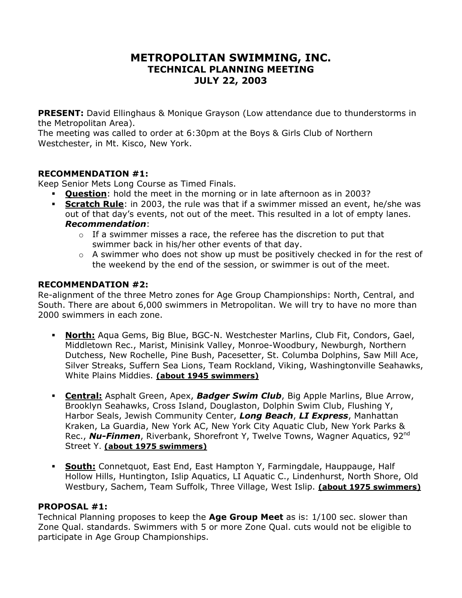# **METROPOLITAN SWIMMING, INC. TECHNICAL PLANNING MEETING JULY 22, 2003**

**PRESENT:** David Ellinghaus & Monique Grayson (Low attendance due to thunderstorms in the Metropolitan Area).

The meeting was called to order at 6:30pm at the Boys & Girls Club of Northern Westchester, in Mt. Kisco, New York.

### **RECOMMENDATION #1:**

Keep Senior Mets Long Course as Timed Finals.

- **Question**: hold the meet in the morning or in late afternoon as in 2003?
	- **Scratch Rule**: in 2003, the rule was that if a swimmer missed an event, he/she was out of that day's events, not out of the meet. This resulted in a lot of empty lanes. *Recommendation*:
		- $\circ$  If a swimmer misses a race, the referee has the discretion to put that swimmer back in his/her other events of that day.
		- $\circ$  A swimmer who does not show up must be positively checked in for the rest of the weekend by the end of the session, or swimmer is out of the meet.

## **RECOMMENDATION #2:**

Re-alignment of the three Metro zones for Age Group Championships: North, Central, and South. There are about 6,000 swimmers in Metropolitan. We will try to have no more than 2000 swimmers in each zone.

- **North:** Aqua Gems, Big Blue, BGC-N. Westchester Marlins, Club Fit, Condors, Gael, Middletown Rec., Marist, Minisink Valley, Monroe-Woodbury, Newburgh, Northern Dutchess, New Rochelle, Pine Bush, Pacesetter, St. Columba Dolphins, Saw Mill Ace, Silver Streaks, Suffern Sea Lions, Team Rockland, Viking, Washingtonville Seahawks, White Plains Middies. **(about 1945 swimmers)**
- **Central:** Asphalt Green, Apex, *Badger Swim Club*, Big Apple Marlins, Blue Arrow, Brooklyn Seahawks, Cross Island, Douglaston, Dolphin Swim Club, Flushing Y, Harbor Seals, Jewish Community Center, *Long Beach*, *LI Express*, Manhattan Kraken, La Guardia, New York AC, New York City Aquatic Club, New York Parks & Rec., **Nu-Finmen**, Riverbank, Shorefront Y, Twelve Towns, Wagner Aquatics, 92<sup>nd</sup> Street Y. **(about 1975 swimmers)**
- **South:** Connetquot, East End, East Hampton Y, Farmingdale, Hauppauge, Half Hollow Hills, Huntington, Islip Aquatics, LI Aquatic C., Lindenhurst, North Shore, Old Westbury, Sachem, Team Suffolk, Three Village, West Islip. **(about 1975 swimmers)**

## **PROPOSAL #1:**

Technical Planning proposes to keep the **Age Group Meet** as is: 1/100 sec. slower than Zone Qual. standards. Swimmers with 5 or more Zone Qual. cuts would not be eligible to participate in Age Group Championships.